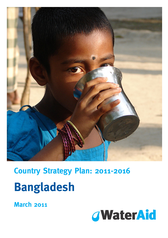

# **Country Strategy Plan: 2011-2016 Bangladesh**

**March 2011** 

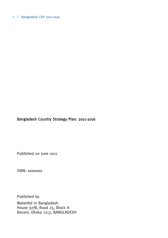# Bangladesh Country Strategy Plan: 2011-2016

Published on June 2011

ISBN: xxxxxxxx

Published by WaterAid in Bangladesh House 97/B, Road 25, Block A Banani, Dhaka 1213, BANGLADESH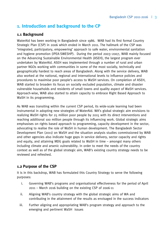# **1. Introduction and background to the CP**

## **1.1 Background**

WaterAid has been working in Bangladesh since 1986. WAB had its first formal Country Strategic Plan (CSP) in 2006 which ended in March 2011. The hallmark of the CSP was 'integrated, participatory, empowering' approach to safe water, environmental sanitation and hygiene promotion (IPEA-SWESHP). During the period 2003–2007, WAB mainly focused on the Advancing Sustainable Environmental Health (ASEH), the largest program ever undertaken by WaterAid. ASEH was implemented through a number of rural and urban partner NGOs working with communities in some of the most socially, technically and geographically hardest to reach areas of Bangladesh. Along with the service delivery, WAB also worked at the national, regional and international levels to influence policies and procedures to maximise poor people's access to WaSH services. On completion of ASEH, WAB started to broaden its focus on socially excluded population, climate and disaster vulnerable households and residents of small towns and quality aspect of WaSH services. Approach-wise, WAB also started to attain capacity to embrace Right Based Approach to WaSH in its programming.

As WAB was transiting within the current CSP period, its wide-scale learning had been instrumental in adopting new strategies of WaterAid. WA's global strategic aim envisions to realizing WaSH rights for 25 million poor people by 2015 with its direct interventions and reaching additional 100 million people through its influencing work. Global strategic aims emphasises on rights based approach to programming, capacity development in the sector, advocating to realise the role of WaSH in human development. The Bangladesh Sector Development Plan (2011) on WaSH and the situation analysis studies commissioned by WAB and other agencies also indicate huge gaps in service delivery, sector capacity and rights and equity, and attaining MDG goals related to WaSH in time – amongst many others including climate and arsenic vulnerability. In order to meet the needs of the country context as well as of the global strategic aim, WAB's existing country strategy needs to be reviewed and refreshed.

## **1.2 Purpose of the CSP**

It is in this backdrop, WAB has formulated this Country Strategy to serve the following purposes:

- i. Governing WAB's programs and organisational effectiveness for the period of April 2011 – March 2016 building on the existing CSP of 2006-11
- ii. Aligning WAB's country strategy with the global strategic aims of WA and contributing in the attainment of the results as envisaged in the success indicators
- iii. Further aligning and appropriating WAB's program strategy and approach to the emerging and pertinent WaSH issues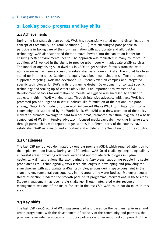# **2. Looking back- progress and key shifts**

## **2.1 Achievements**

During the last strategic plan period, WAB has successfully scaled-up and disseminated the concept of Community Led Total Sanitation (CLTS) that encouraged poor people to participate in taking care of their own sanitation with appropriate and affordable technology. WAB also supported them to move forward into the sanitation ladder for ensuring better environmental health. The approach was replicated in many countries. In addition, WAB worked in the slums to provide urban poor with adequate WaSH services. The model of organising slum dwellers in CBOs to get services formally from the water utility agencies has been successfully established as a norm in Dhaka. The model has been scaled up in other cities. Gender and equity have been maintained in staffing and people supported targeting. WAB has developed DAP friendly WatSan complex and integrated specific technologies for DAPs in its programme design. Development of context specific technology and scaling up of Water Safety Plan is an important achievement of WAB. Development of tools for orientation on menstrual hygiene was successfully applied to adolescent girls in WAB working areas. Through intensive advocacy initiatives, WAB has promoted pro-poor agenda in WaSH policies like formulation of the national pro-poor strategy. WaterAid's model of urban work influenced Dhaka WASA to initiate low income community unit supported by the World Bank. WaterAid also drew attention of the policy makers to promote coverage to hard-to-reach areas, promoted menstrual hygiene as a basic component of WaSH. Intensive advocacy, focused media campaign, working in large scale through partnerships with reputed organisations in different parts of the country have established WAB as a major and important stakeholder in the WaSH sector of the country.

## **2.2 Challenges**

The last CSP period was dominated by one big program ASEH, which required attention to the implementation issues. During last CSP period, WAB faced challenges regarding salinity in coastal areas, providing adequate water and appropriate technologies in hydrogeologically difficult regions like *char*, barind and *haor areas*, supporting people in disaster prone areas etc. Technologically, WAB faced challenges in developing and providing the slum dwellers with appropriate WatSan technologies considering space constraint in the slum and environmental consequences in and around the water bodies. Moreover regular threat of eviction hindered the smooth pace of its programme interventions in these areas. Sludge management has been a big challenge. Though integrated water resource management was one of the major focuses in the last CSP, WAB could not do much in this area.

## **2.3 Key shifts**

The last CSP (2006-2011) of WAB was grounded and based on the partnership in rural and urban programme. With the development of capacity of the community and partners, the programme included advocacy on pro poor policy as another important component of the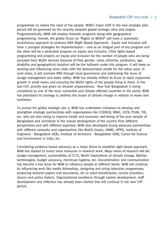programmes to realise the need of the people. WAB's major shift in the new strategic plan period will be governed by the recently adopted global strategic aims and targets. Programmatically, WAB will employ thematic programs along with geographical programming. Overall, the global thrust on "Rights to WASH" will have a systematic evolutionary approach to embrace RBA (Right Based Approach). Equity and inclusion will have 2 pronged strategies for implementation – one as an integral part of any program and the other will be a dedicated program on equity and inclusion. Child rights based programming and projects on equity and inclusion for the number of people who are being excluded from WaSH services because of their gender, caste, ethnicity, profession, age, disability and geographical isolation will be the hallmark under this program. It will keep on working and influencing more cities with the demonstrated model for the urban poor. In rural areas, it will promote RBA through local governance and addressing the issue of sludge management and water safety. WAB has already shifted its focus to rapid unplanned growth in small towns and ensuring the WaSH rights of the people living in there. In the last CSP, priority was given on disaster preparedness. Now that Bangladesh is being considered as one of the most vulnerable and climate affected countries in the world, WAB has prioritised its strategy to address the issues of climate change in relation to water and sanitation.

To pursue the global strategic aim 3, WAB has undertaken initiatives to develop and strengthen strategic partnerships with organisations like ICDDR,B, BRAC, IUCN, PLAN, TIB, etc, who are also trying to improve health and economic well-being of the poor people of Bangladesh and contribute in the overall development of the country from different perspectives and with different expertise. WAB also developed strong advocacy partnerships with different networks and organisations like WaSH cluster, UNMC, APPG, Institute of Engineers - Bangladesh (IEB), Institute of Architects - Bangladesh (IAB), Centre for Science and Environment in India, etc.

Considering evidence based advocacy as a major thrive to establish right based approach, WAB has started to invest more resources in research work. Major areas of research will be: sludge management, sustainability of CLTS, WaSH implications of climate change, WatSan technologies, budget advocacy, menstrual hygiene, etc. Documentation and communication has become a key issue for WAB to influence people at different levels. WAB will continue its influencing work like media fellowships, designing and airing television programmes, producing research papers and documents, etc to reach beneficiaries, service providers, donors and policy makers. Organisational excellence through system development, staff development and reflection has already been started that will continue in the new CSP period.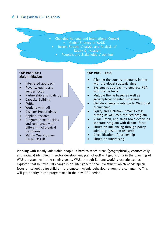Changing National and International Context Global Strategy of WAUK

- Recent Sectoral Analysis and Analysis of Equity & Inclusion
	- People's and Stakeholders' opinion

#### **CSP 2006-2011 Major Initiatives**

- Integrated approach
- Poverty, equity and gender focus
- Partnership and scale up
- Capacity Building
- IWRM
- Working with LGI
- Disaster Preparedness
- Applied research
- Program in major cities and rural areas with different hydrological conditions
- Mainly One Program Based (ASEH)

#### **CSP 2011 – 2016**

- Aligning the country programs in line with the global strategic aims
- Systematic approach to embrace RBA with the partners
- Multiple theme based as well as geographical oriented programs
- Climate change in relation to WaSH get prominence
- Equity and Inclusion remains cross cutting as well as a focused program
- Rural, urban, and small town evolve as separate program with distinct focus
- Thrust on Influencing through policy advocacy based on research
- Diversification of partnership
- Thrust on fundraising

Working with mostly vulnerable people in hard to reach areas (geographically, economically and socially) identified in sector development plan of GoB will get priority in the planning of WAB programmes in the coming years. WAB, through its long working experience has explored that behavioural change is an inter-generational investment which needs special focus on school going children to promote hygienic behaviour among the community. This will get priority in the programmes in the new CSP period.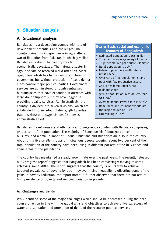# **3. Situation analysis**

## **A. Situational analysis**

Bangladesh is a developing country with lots of development potentials and challenges. The country gained its independence in 1971 after a war of liberation from Pakistan in which 3 million Bangladeshis died. The country was left economically devastated. The natural disaster in 1974 and famine received world attention. Since 1991, Bangladesh has had a democratic form of government but without protection of basic rights; elites control major political parties. Government services are administered through centralised bureaucracies that have expanded in outreach with large donor support but they have lagged in providing quality services. Administratively, the country is divided into seven divisions, which are subdivided into sixty-four districts; 481 Upazilas (Sub-districts) and 4,498 Unions (the lowest administrative tier).

## **Box 1: Basic social and economic features of Bangladesh**

- Estimated population is 164 million
- Total land area 147,570 sq kilometre
- 1,142 people live per square kilometre
- Rural population is  $70\%^2$
- Urban population growth rate is around 6  $\%$ <sup>3</sup>
- Over 50% of the population is land poor with few productive assets.
- 45% of children under 5 are malnourished<sup>4</sup>
- 36% of population lives on less than  $$1 a day<sup>5</sup>$
- Average annual growth rate is  $5.6\%$
- Remittance and garment exports are the major source of GDP<sup>7</sup>
- HDI ranking is  $142^8$

Bangladesh is religiously and ethnically a homogeneous country, with Bengalis comprising 98 per cent of the population. The majority of Bangladeshis (about 90 per cent) are Muslims, and a small number of Hindus, Christians and Buddhists are also in the country. About thirty five smaller groups of indigenous people covering about two per cent of the total population of the country have been living in different pockets of the hilly zones and some areas of the plain-lands.

The country has maintained a steady growth rate over the past years. The recently released MDG progress report<sup>1</sup> suggests that Bangladesh has been convincingly moving towards achieving some MDGs. The report suggests that the country is on its way to achieve targeted prevalence of poverty by 2015, however, rising inequality is offsetting some of the gains in poverty reduction, the report noted. It further observed that there are pockets of high prevalence of poverty and regional variation in poverty.

## **A1. Challenges and trends**

WAB identified some of the major challenges which should be addressed during the next course of action in line with the global aims and objectives to achieve universal access of water and sanitation and promotion of rights of the resource poor to services.

 <sup>1</sup> GoB, 2010, The Millennium Development Goals: Bangladesh Progress Report 2009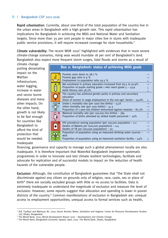Rapid urbanisation: Currently, about one-third of the total population of the country live in the urban areas in Bangladesh with a high growth rate. This rapid urbanisation has implications for Bangladesh in achieving the MDG and National Water and Sanitation targets. Since more than 35 per cent people in major cities live in slums with inadequate public service provisions, it will require increased coverage for slum households. $2$ 

Climate vulnerability: The recent WDR 2010<sup>3</sup> highlighted with evidences that in more severe climate-change scenarios, rising seas would inundate 18 per cent of Bangladesh's land. Bangladesh also expect more frequent storm surges, tidal floods and storms as a result of

climate change putting devastating impact on the WatSan infrastructure; water logging, increase in water and vector borne diseases and many other impacts. On the other hand, growth is not likely to be fast enough for countries like Bangladesh to afford the kind of protection that would be needed. Inadequate



financing, governance and capacity to manage such a global phenomenon locally are also inadequate. It is therefore important that WaterAid Bangladesh implement systematic programmes in order to innovate and test climate resilient technologies, facilitate and advocate for replication and of successful models to impact on the reduction of health hazards of the vulnerable people.

Exclusion: Although, the constitution of Bangladesh guarantees that "the State shall not discriminate against any citizen on grounds only of religion, race, caste, sex or place of birth" there are socially excluded groups with little or no access to facilities. Data is extremely inadequate to understand the magnitude of exclusion and measure the level of exclusion. However, some reports suggest that allocation and spending is lower in poorer districts of the country.<sup>4</sup> Common manifestations of exclusion in Bangladesh are: unequal access to employment opportunities; unequal access to formal services such as health,

 $\overline{a}$ <sup>2</sup> Arif, Taufiqul and Mahmud, W., 2010, Sector Review: Water, Sanitation and Hygiene. Center for Resource Development Studies Ltd, Dhaka, Bangladesh

<sup>&</sup>lt;sup>3</sup> The World Bank, 2010, World Development Report 2010 – Development and Climate Change

<sup>4</sup> The World Bank, Bangladesh Economic Update, April, 2010. The World Bank, Dhaka, Bangladesh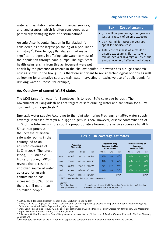#### Bangladesh CSP 2011-2016 | 9

water and sanitation, education, financial services; and landlessness, which is often considered as a particularly damaging form of discrimination<sup>5</sup>.

Arsenic: Arsenic contamination in Bangladesh is considered as "the largest poisoning of a population in history"6 . Prior to 1993 Bangladesh had made significant progress in offering safe water to most of the population through hand pumps. The significant health gains arising from this achievement were put

#### **Box 3: Cost of arsenic**

- 7-12 million person-days per year are lost as a result of arsenic exposure.
- 207-369 million taka per year are spent for medical cost.
- Total cost of illness as a result of arsenic exposure is Tk 557 to 994 million per year (average 0.6 % of the annual income of affected individuals).

at risk by the presence of arsenic in the shallow aquifer. It however has a huge economic cost as shown in the box  $3^7$ . It is therefore important to revisit technological options as well as looking for alternative sources (rain-water harvesting or exclusive use of public ponds for drinking water purpose, for example).

#### **A2. Overview of current WaSH status**

The MDG target for water for Bangladesh is to reach 89% coverage by 2015. The Government of Bangladesh has set targets of safe drinking water and sanitation for all by 2011 and 2013 respectively. $8$ 

Domestic water supply: According to the Joint Monitoring Programme (JMP)<sup>9</sup>, water supply coverage increased from 78% in 1990 to 98% in 2006. However, Arsenic contamination of 22% of the tube-wells in the country proportionately lowered the service coverage to 78%.

Since then progress in the increase of arsenicsafe water points in the country led to an adjusted coverage of 80% in 2006. The latest (2009) BBS Multiple Indicator Survey (MICS) reveals that access to improved source of water adjusted for arsenic contamination has increased to 86%. Today there is still more than 20 million people

 $\overline{a}$ 

| Box 4: UN coverage estimates                      |        |         |                                                               |       |       |          |                                                        |       |       |       |
|---------------------------------------------------|--------|---------|---------------------------------------------------------------|-------|-------|----------|--------------------------------------------------------|-------|-------|-------|
| <b>Population</b><br>(thousands)                  |        |         | <b>Population using</b><br>improved drinking<br>water sources |       |       |          | Population using an<br>improved<br>sanitation facility |       |       |       |
|                                                   | Urban  | Rural   | Total                                                         | Urban | Rural | Total    |                                                        | Urban | Rural | Total |
| 1990                                              | 22,908 | 92,724  | 115,632                                                       | 88%   | 76%   | 78%      |                                                        | 59%   | 34%   | 39%   |
| 2000                                              | 33,207 | 107,560 | 140,767                                                       | 86%   | 77%   | 79%      |                                                        | 57%   | 43%   | 46%   |
| 2005                                              | 39,309 | 113,813 | 153,122                                                       | 85%   | 78%   | 80%      |                                                        | 57%   | 48%   | 50%   |
| 2008                                              | 43,312 | 116,688 | 160,000                                                       | 85%   | 78%   | 80%      |                                                        | 56%   | 52%   | 53%   |
| 2015                                              | 53,967 | 121,250 | 175,217                                                       |       |       | $89\%$ * |                                                        |       |       | 70%*  |
| * MDG target based on JMP 1990 coverage estimates |        |         |                                                               |       |       |          |                                                        |       |       |       |

Sources

Population data: UN population division, World Population Prospects, the 2008 Revision Coverage estimates: Preliminary estimates WHO/UNICEF JMP, 2010

<sup>&</sup>lt;sup>5</sup> GSDRC, 2008, Helpdesk Research Report: Social Exclusion in Bangladesh

<sup>&</sup>lt;sup>6</sup> Smith, A. H., E. O. Lingas, et al., 2000. "Contamination of drinking-water by arsenic in Bangladesh: A public health emergency." Bulletin of the World Health Organisation 78(9): 1093-1103 <sup>7</sup>

<sup>&</sup>lt;sup>7</sup> Khan, Zakir Hossain and Hoque, A. K. E, 2010, Economic Cost of Arsenic Disaster: Policy Choices for Bangladesh, ERG Occasional Paper, Economic Research Group, Dhaka, Bangladesh

<sup>&</sup>lt;sup>8</sup> GoB, 2010, Outline Perspective Plan of Bangladesh 2010-2021: Making Vision 2021 A Reality. (General Economic Division, Planning Commission).

<sup>9</sup> JMP monitors fulfilment of the MDG for water supply and sanitation and is managed jointly by WHO and UNICEF.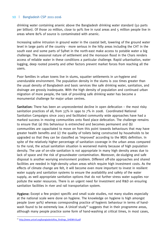drinking water containing arsenic above the Bangladesh drinking water standard (50 parts per billion). Of those 20 million, close to 90% live in rural areas and 5 million people live in areas where 80% of source is contaminated with arsenic.

Increasing saline intrusion in ground water in the coastal belt, lowering of the ground water level in large parts of the country - more serious in the hilly areas including the CHT in the south east and some parts of Sylhet in the north-east make access to potable water a big challenge. The seasonal nature of settlement and the monsoon flood in the Chars renders access of reliable water in these conditions a particular challenge. Rapid urbanisation, water logging, deep rooted poverty and other factors prevent market forces from reaching all the users.

Poor families in urban towns live in slums, squatter settlements in un-hygiene and unendurable environment. The population density in the slums is 200 times greater than the usual density of Bangladesh and basic services like safe drinking water, sanitation, and drainage are grossly inadequate. With the high density of population and continued urban migration of more people, the task of providing safe drinking water has become a monumental challenge for major urban centres.

Sanitation: There has been an unprecedented decline in open defecation – the most risky sanitation practices of all, from 33% in 1990 to 7% in 2008. Coordinated National Sanitation Campaigns since 2003 and facilitated community wide approaches have had a marked success in moving communities onto fixed place defecation. The challenge remains to ensure that (a) this behaviour is entrenched and becomes permanent and (b) communities are capacitated to move on from this point towards behaviours that may have greater health benefits and (c) the quality of toilets being constructed by households to be upgraded so that they can be classified as 'improved' according to the MDG definition. In spite of the relatively higher percentage of sanitation coverage in the urban areas compared to the rural, the actual sanitation situation is worsened mainly because of high population density. The use of on-site sanitation is not appropriate in many high density areas due to lack of space and the risk of groundwater contamination. Moreover, de-sludging and safe disposal is another worrying environment problem. Different off-site approaches and shared facilities are needed in high-density urban areas which require high investment costs. As the effects of climate change are felt, it will become even more important to invest in resilient water supply and sanitation systems to ensure the availability and safety of the water supply, as well appropriate sanitation options that do not further stress water supplies nor pollute the water resources. There is an urgent need for investment and R&D on ensuring sanitation facilities in river and rail transportation system.

Hygiene: Except a few project specific and small scale studies, not many studies especially at the national scale were done on hygiene. The knowledge on hygiene is high amongst people (over 90%) whereas corresponding practice of hygienic behaviour in terms of handwash found to be extremely low. A Unicef study<sup>10</sup> suggests that in their programme areas, although many people practice some form of hand-washing at critical times, in most cases,

 <sup>10</sup> http://www.unicef.org/bangladesh/Key\_findings\_SHEWA-B.pdf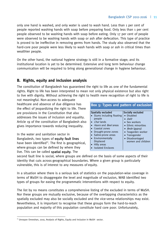only one hand is washed, and only water is used to wash hand. Less than 1 per cent of people reported washing hands with soap before preparing food. Only less than 1 per cent people observed to be washing hands with soap before eating. Only 17 per cent of people were observed to be washing hands with soap or ash after defecation. This type of practice is proved to be ineffective in removing germs from hands. The study also observed that the hard-core poor people were less likely to wash hands with soap or ash in critical times than wealthier people.

On the other hand, the national hygiene strategy is still in a formative stage; and its institutional location is yet to be determined. Extensive and long term behaviour change communication will be required to bring along generational change in hygiene behaviour.

# **B. Rights, equity and inclusion analysis**

The constitution of Bangladesh has guaranteed the right to life as one of the fundamental rights. Right to life has been interpreted to mean not only physical existence but also right to live with dignity. Without achieving the right to health mere recognition of right to life is

not meaningful. Non-access to adequate healthcare and absence of due diligence has the effect of jeopardizing the right to life. There are provisions in the Constitution that also addresses the issues of inclusion and equality. Article 19 of the constitution of Bangladesh also gives importance towards reducing inequality.

In the water and sanitation sector in Bangladesh, two types of equity fault lines have been identified $11$ . The first is geographical, where groups can be defined by where they live. This can be called spatial equity. The

#### **Box 5: Types and pattern of exclusion**  Spatially excluded Spatially excluded • Slums including floating people Char lands Haors and Beel areas Coastal zones Drought-prone zones Saline-prone areas Environmentally Displaced Hilly areas Isolated Enclaves Disabled • Dalit • Sex workers • Ethnic minorities  $\bullet$  *Bede* (gypsy) Teagarden worker • Transgender Disadvantaged women and children

second fault line is social, where groups are defined on the basis of some aspects of their identity that cuts across geographical boundaries. Where a given group is particularly vulnerable, this is of interest to any measures of equity.

In a situation where there is a serious lack of statistics on the population-wise coverage in terms of WaSH to disaggregate the level and magnitude of exclusion, WAB identified two types of groups for easing the programmatic interventions with respect to equity.

The list by no means constitutes a comprehensive listing of the excluded in terms of WaSH. Nor these groups are mutually exclusive, because of the overlapping characteristics as the spatially excluded may also be socially excluded and the vice-versa relationships may exist. Nevertheless, it is important to recognise that these groups form the hard-to-reach population and majority of this population constitute hard core poor. Unfortunately,

 <sup>11</sup> Unnayan Onneshan, 2010, Analysis of Rights, Equity and Inclusion in WaSH sector.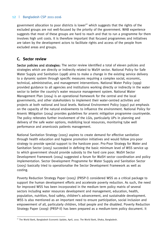government allocation to poor districts is lower $12$  which suggests that the rights of the excluded groups are not well-focused by the priority of the government. WAB experience suggests that most of these groups are hard to reach and that to run a programme for them involves high unit costs. It is therefore important that focused programmes and initiatives are taken by the development actors to facilitate rights and access of the people from excluded areas and groups.

## **C. Sector review**

Sector policies and strategies: The sector review identified a total of eleven policies and strategies which are directly or indirectly related to WaSH sector. National Policy for Safe Water Supply and Sanitation (1998) aims to make a change in the existing service delivery to a dynamic system through specific measures requiring a complex social, economic, technical, administrative, and management interventions. National Water Policy (1999) provided guidance to all agencies and institutions working directly or indirectly in the water sector to better the country's water resource management system. National Water Management Plan (2004) is an operational framework for the central and the local governments, and other stakeholders to implement their water-centred activities and projects at both national and local levels. National Environment Policy (1992) put emphasis on the capacity of the natural endowments to influence the environment. National Policy for Arsenic Mitigation (2004) provides guidelines for arsenic mitigation programme countrywide. The policy reiterates further involvement of the LGIs, particularly UPs in planning and delivery of the safe water options, mobilizing local resources, monitoring tube well performance and arsenicosis patients management.

National Sanitation Strategy (2005) aspires to create demand for effective sanitation through health education and hygiene promotion initiatives and would follow pro-poor strategy to provide special support to the hardcore poor. Pro-Poor Strategy for Water and Sanitation Sector (2005) succeeded in defining the basic minimum level of WSS service up to which government should provide subsidy to the hard core poor. WaSH Sector Development Framework (2004) suggested a forum for WaSH sector coordination and policy implementation. Sector Development Programme for Water Supply and Sanitation Sector (2005) basically tried to operationalise the Sector Development Framework as well as costing.

Poverty Reduction Strategy Paper (2005) (PRSP-I) considered WSS as a critical package to support the human development efforts and accelerate poverty reduction. As such, the need for improved WSS has been incorporated in the medium term policy matrix of several sectors including water resources development and management, education, health, population, nutrition, food safety, children's advancement, and sustainable development. WSS is also mentioned as an important need to ensure participation, social inclusion and empowerment of all, particularly children, tribal people and the disabled. Poverty Reduction Strategy Paper (2009) (PRSP-II) has been prepared as a medium-term policy document. It

 <sup>12</sup> The World Bank, Bangladesh Economic Update, April, 2010. The World Bank, Dhaka, Bangladesh.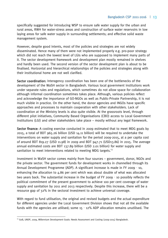specifically suggested for introducing WSP to ensure safe water supply for the urban and rural areas, RWH for water-stress areas and construction of surface water reservoirs in low laying areas for safe water supply in surrounding settlements; and effective solid waste management system.

However, despite good intents, most of the policies and strategies are not widely disseminated. Hence many of them were not implemented properly e.g. pro-poor strategy which did not reach the lowest level of LGIs who are supposed to implement many parts of it. The sector development framework and development plan mostly remained in shelves and hardly been used. The second version of the sector development plan is about to be finalised. Horizontal and hierarchical relationships of the policies and strategies along with their institutional home are not well clarified.

Sector coordination: Interagency coordination has been one of the bottlenecks of the development of the WaSH sector in Bangladesh. Various local government institutions work under separate rules and regulations, which sometimes do not allow space for collaboration although informal coordination sometimes takes place. Although, various policies reflect and acknowledge the importance of GO-NGOs as well as Public-Private Partnership, it is not much visible in practice. On the other hand, the donor agencies and INGOs have specific approaches and processes to maintain cooperation with other stakeholders. Lack of coordination at the Ministry levels is also quite visible. At the grassroots level, through different pilot initiatives, Community Based Organisations (CBO) access to Local Government Institutions (LGI) and other stakeholders take place – mostly without any legal framework.

Sector finance: A costing exercise conducted in 2009 estimated that to meet MDG goals by 2015, a total of BDT 965.26 billion (USD 14.11 billion) will be required to undertake the interventions on water supply and sanitation for the period 2009-2015, at a per capita cost of around BDT 819.27 (USD 11.98) in 2009 and BDT 947.71 (USD13.86) in 2015. The average annual estimated costs are BDT 137.89 billion (USD 2.01 billion) for water supply and sanitation to meet interventions related to meeting MDG targets.<sup>13</sup>

Investment in WaSH sector comes mainly from four sources – government, donor, NGOs and the private sector. The government funds for development works in channelled through its Annual Development Programme (ADP). A significant increase is made in FY 2009‐10, enhancing the allocation to 4.86 per cent which was about double of what was allocated two years back. The substantial increase in the budget of FY 2009 - 10 possibly reflects the political commitment of the present government to achieve 100 per cent coverage of water supply and sanitation by 2011 and 2013 respectively. Despite this increase, there will be a resource gap of 32% in the sectoral investment to achieve universal coverage.

With regard to fund utilisation, the original and revised budgets and the actual expenditure for different agencies under the Local Government Division shows that not all the available funds with the agencies are utilised; some  $15 - 12\%$  ADP allocation remains unutilised. The

 <sup>13</sup> GoB, UNDP, 2009, Millennium Development Goals: Needs Assessment and Costing (2009-2015) Bangladesh.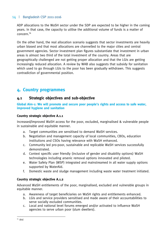ADP allocations to the WaSH sector under the SDP are expected to be higher in the coming years. In that case, the capacity to utilise the additional volume of funds is a matter of concern.14

On the other hand, the real allocation scenario suggests that sector investments are heavily urban biased and that most allocations are channelled to the major cities and central government agencies. Sector investment plan figures substantiate that investment in urban areas is almost two third of the total investment of the country. Areas that are geographically challenged are not getting proper allocation and that the LGIs are getting increasingly reduced allocation. A review by WAB also suggests that subsidy for sanitation which used to go through LGIs to the poor has been gradually withdrawn. This suggests contradiction of governmental position.

# **4. Country programmes**

## **4.1 Strategic objectives and sub-objective**

**Global Aim-1: We will promote and secure poor people's rights and access to safe water, improved hygiene and sanitation** 

## **Country strategic objective A.1.1**

Increased/improved WaSH access for the poor, excluded, marginalised & vulnerable people in sustainable and equitable manner.

- a. Target communities are sensitised to demand WaSH services.
- b. Negotiation and management capacity of local communities, CBOs, education institutions and CSOs having relevance with WaSH enhanced.
- c. Community led pro-poor, sustainable and replicable WaSH services successfully demonstrated.
- d. Context specific user friendly (inclusive of gender and disability options) WaSH technologies including arsenic removal options innovated and piloted.
- e. Water Safety Plan (WSP) integrated and mainstreamed in all water supply options supported by WaterAid.
- f. Domestic waste and sludge management including waste water treatment initiated.

## **Country strategic objective A.1.2**

Advanced WaSH entitlements of the poor, marginalised, excluded and vulnerable groups in equitable manner.

- a. Awareness of target beneficiaries on WaSH rights and entitlements enhanced.
- b. LGIs and service providers sensitised and made aware of their accountabilities to serve socially excluded communities.
- c. Local and national level forums emerged and/or activated to influence WaSH agencies to serve urban poor (slum dwellers).

 <sup>14</sup> Ibid.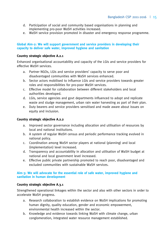- d. Participation of social and community based organisations in planning and implementing pro-poor WaSH activities increased.
- e. WaSH service provision promoted in disaster and emergency response programme.

#### **Global Aim-2: We will support government and service providers in developing their capacity to deliver safe water, improved hygiene and sanitation**

#### **Country strategic objective A.2.1**

Enhanced organisational accountability and capacity of the LGIs and service providers for effective WaSH services.

- a. Partner NGOs, LGIs and service providers' capacity to serve poor and disadvantaged communities with WaSH services enhanced.
- b. Sector actors mobilised to influence LGIs and service providers towards greater roles and responsibilities for pro-poor WaSH services.
- c. Effective model for collaboration between different stakeholders and local authorities developed.
- d. LGIs, service agencies and govt departments influenced to adopt and replicate waste and sludge management, urban rain water harvesting as part of their plan.
- e. Duty bearers and service providers sensitised and made aware about issues on equity and inclusion.

#### **Country strategic objective A.2.2**

- a. Improved sector governance including allocation and utilisation of resources by local and national institutions.
- b. A system of regular WaSH census and periodic performance tracking evolved in national policy.
- c. Coordination among WaSH sector players at national (planning) and local (implementation) level increased.
- d. Transparency and accountability in allocation and utilisation of WaSH budget at national and local government level increased.
- e. Effective public private partnership promoted to reach poor, disadvantaged and excluded communities with sustainable WaSH services.

#### **Aim-3: We will advocate for the essential role of safe water, improved hygiene and sanitation in human development**

#### **Country strategic objective A.3.1**

Strengthened operational linkages within the sector and also with other sectors in order to accelerate WaSH progress.

- a. Research collaboration to establish evidence on WaSH implications for promoting human dignity, quality education, gender and economic empowerment, environmental health increased within the sector.
- b. Knowledge and evidence towards linking WaSH with climate change, urban conglomeration, integrated water resource management established.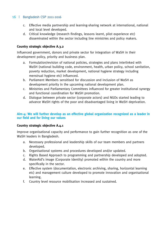- c. Effective media partnership and learning-sharing network at international, national and local level developed.
- d. Critical knowledge (research findings, lessons learnt, pilot experience etc) disseminated within the sector including line ministries and policy makers.

## **Country strategic objective A.3.2**

Influenced government, donors and private sector for integration of WaSH in their development policy, priority and business plan.

- a. Formulation/revision of national policies, strategies and plans interlinked with WaSH (national building code, environment, health, urban policy, school sanitation, poverty reduction, market development, national hygiene strategy including menstrual hygiene etc) influenced.
- b. Parliament Members sensitised for discussion and inclusion of WaSH as development priority in the upcoming national development plan.
- c. Ministries and Parliamentary Committees influenced for greater institutional synergy and functional coordination for WaSH promotion.
- d. Dialogue between private sector (corporate actors) and NGOs started leading to advance WaSH rights of the poor and disadvantaged living in WaSH deprivation.

### **Aim-4: We will further develop as an effective global organization recognized as a leader in our field and for living our values**

#### **Country strategic objective A.4.1**

Improve organisational capacity and performance to gain further recognition as one of the WaSH leaders in Bangladesh.

- a. Necessary professional and leadership skills of our team members and partners developed.
- b. Organisational systems and procedures developed and/or updated.
- c. Rights Based Approach to programming and partnership developed and adopted.
- d. WaterAid's image (Corporate Identity) promoted within the country and more specifically in the sector.
- e. Effective system (documentation, electronic archiving, sharing, horizontal learning etc) and management culture developed to promote innovation and organisational learning.
- f. Country level resource mobilisation increased and sustained.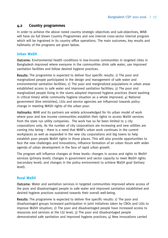## **4.2 Country programmes**

In order to achieve the above noted country strategic objectives and sub-objectives, WAB will have six full blown Country Programmes and one internal cross-sector internal program which will be ingrained in its country office operations. The main outcomes, key results and hallmarks of the programs are given below.

### **Urban WaSH**

Outcome: Environmental health conditions in low-income communities in targeted cities in Bangladesh improved where everyone in the communities drink safe water, use improved sanitation facilities and follow desired hygiene practices.

Results: The programme is expected to deliver four specific results: 1) The poor and marginalized people participated in the design and management of safe water and environmental sanitation facilities; 2) The poor and marginalized populations in urban areas established access to safe water and improved sanitation facilities; 3) The poor and marginalized people living in the slums adopted improved hygiene practices (hand washing in critical times) while community hygiene situation as a whole improved; 4) National government (line ministries), LGIs and service agencies are influenced towards policy change in meeting WASH rights of the urban poor.

Hallmarks: WAB and its partners are widely acknowledged for its urban model of work where poor and low income communities establish their rights to access WaSH services from the state run utility companies. The work has so far been limited to 3 city corporations only. As the number of city corporations are increasing and new utilities are coming into being – there is a need that WAB's urban work continues in the current workplaces as well as expanded in the new city corporations and big towns to help establish poor people WaSH rights in those places. This will also provide opportunities to face the new challenges and innovations, influence formation of an urban forum with wider agenda of urban development in the face of rapid urban growth.

The program will influence changes at three levels: changes in access and rights to WaSH services (primary level); changes in government and sector capacity to meet WaSH rights (secondary level); and changes in the policy environment to achieve WaSH goal (tertiary level).

## **Rural WaSH**

Outcome: Water and sanitation services in targeted communities improved where access of the poor and disadvantaged people to safe water and improved sanitation established and desired hygiene practices sustained towards their overall well-being.

Results: The programme is expected to deliver five specific results: 1) The poor and disadvantaged groups increased participation in joint initiatives taken by CBOs and LGIs to improve WaSH situation; 2) The poor and disadvantaged people have increased access to resources and services at the LGI level; 3) The poor and disadvantaged people demonstrated safe sanitation and improved hygiene practices;  $\Delta$ ) New innovations carried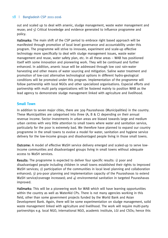out and scaled up to deal with arsenic, sludge management, waste water management and reuse; and 5) Critical knowledge and evidence generated to influence programme and policy.

Hallmarks: The main shift of the CSP period to embrace right based approach will be manifested through promotion of local level governance and accountability under this program. The programme will strive to innovate, experiment and scale-up effective technology more specifically to deal with sludge management issues, waste water management and reuse, water safety plan, etc. In all these areas – WAB has positioned itself with some innovation and pioneering work. They will be continued and further enhanced. In addition, arsenic issue will be addressed through low cost rain-water harvesting and other means of water sourcing and mitigation. Saline water treatment and promotion of low-cost alternative technological options in different hydro-geological conditions will be promoted under this program. Implementation of the programme will follow partnership with local NGOs and other specialized organisations. Especial efforts and partnership with multi party organizations will be fostered mainly to position WAB as the lead agency to demonstrate sludge management linked with agriculture and livelihood.

## **Small Town**

In addition to seven major cities, there are 309 Paurashavas (Municipalities) in the country. These Municipalities are categorised into three (A, B & C) depending on their annual revenue income. Sector investments in urban areas are biased towards large and medium urban centres with very little attention to small towns where water and sanitation service, particularly for the poor is extremely bad. We therefore have planned to expand our country programme in the small towns to evolve a model for water, sanitation and hygiene service delivery for the low-income groups and disadvantaged people living in those small towns.

Outcome: A model of effective WaSH service delivery emerged and scaled-up to serve lowincome communities and disadvantaged groups living in small towns without adequate access to WaSH services.

Results: The programme is expected to deliver four specific results: 1) poor and disadvantaged people including children in small towns established their rights to improved WaSH services; 2) participation of the communities in local level planning and collaboration enhanced; 3) pro-poor planning and implementation capacity of the Pourashavas to extend WaSH service/coverage increased; and 4) environmental sanitation in targeted Pourashavas improved.

Hallmarks: This will be a pioneering work for WAB which will have learning opportunities within the country as well as WaterAid CPs. There is not many agencies working in this field, other than some government projects funded by the World Bank and Asian Development Bank. Again, there will be some experimentation on sludge management, solid waste management linked with agriculture and livelihood. The work will require multi-party partnerships e.g. local NGO, international NGO, academic institute, LGI and CSOs; hence this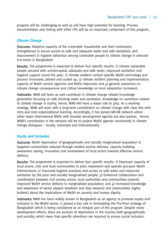program will be challenging as well as will have high potential for learning. Process documentation and linking with other CPs will be an important component of this program.

## **Climate Change**

Outcome: Adaptive capacity of the vulnerable households and their institutions strengthened to secure access to safe and adequate water and safe sanitation; and improvement in hygiene behaviour among vulnerable people to climate change in selected eco-zones in Bangladesh.

Results: The programme is expected to deliver four specific results: 1) climate vulnerable people secured with uninterrupted, adequate and safe water, improved sanitation and hygiene support round the year; 2) climate resilient context specific WaSH technology and process innovated, piloted and scaled up; 3) climate resilient planning and implementation capacity of WaSH service agencies and NGOs improved; and  $\Delta$ ) general awareness on climate change consequences and critical knowledge on local adaptation increased.

Hallmarks: WAB will learn as well contribute in climate change related knowledge generation focusing on safe drinking water and sanitation. Knowledge on sanitation related to climate change is scanty; hence, WAB will have a major role to play. As a working strategy, WAB will work with a long-term commitment on climate change with clear link with intra and inter-organizational learning. Accordingly, it has joined ARCAB network where other major international NGOs with broader development agenda are also partner. Hence, WAB's contribution in the network will be to project WaSH agenda consistently in climate change dialogues – locally, nationally and internationally.

## **Equity and Inclusion**

Outcome: WaSH deprivation of geographically and socially marginalised population in targeted communities reduced through modest service delivery, capacity building, awareness raising, innovation and involvement of local actors towards effective service delivery.

Results: The programme is expected to deliver four specific results: 1) Improved capacity of local actors, LGIs and local communities to plan, implement and operate pro-poor WaSH interventions; 2) Improved hygiene practices and access to safe water and improved sanitation by the poor and socially marginalised people; 3) Enhanced collaboration and coordination between civil society actors, local authorities and communities towards improved WaSH service delivery to marginalised population; and  $4)$  Increased knowledge and awareness of sector players (enablers and duty bearers) and communities (rights holders) about the implications of WaSH on poverty and human dignity.

Hallmarks: WAB has been widely known in Bangladesh as an agency to promote equity and inclusion in the WaSH sector. It played a key role in formulating the Pro-Poor strategy of Bangladesh which is being considered as an integral part of the program. Despite many development efforts, there are pockets of deprivation in the country both geographically and socially; which mean that specific attentions are required to ensure social inclusion.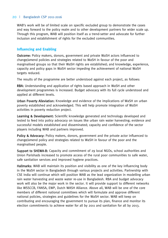WAB's work will be of limited scale on specific excluded group to demonstrate the cases and way forward to the policy realm and to other development partners for wider scale up. Through this program, WAB will position itself as a trend-setter and advocate for further inclusion and establishment of rights for the excluded communities.

## **Influencing and Enabling**

Outcome: Policy makers, donors, government and private WaSH actors influenced to change/amend policies and strategies related to WaSH in favour of the poor and marginalised groups so that their WaSH rights are established; and knowledge, experience, capacity and policy gaps in WaSH sector impeding the achievement of national WaSH targets reduced.

The results of the programme are better understood against each project, as follows:

RBA: Understanding and application of rights based approach in WaSH and other development programmes is increased. Budget advocacy with its full cycle understood and applied at different levels.

Urban Poverty Alleviation: Knowledge and evidence of the implications of WaSH on urban poverty established and acknowledged. This will help promote integration of WaSH activities in poverty reduction project.

Learning & Development: Scientific knowledge generated and technology developed and tested to feed into policy advocacy on issues like urban rain water harvesting; evidence and successful models established and disseminated; capacity and confidence of the sector players including WAB and partners improved.

Policy & Advocacy: Policy makers, donors, government and the private actor influenced to change/amend policy and strategies related to WaSH in favour of the poor and the marginalised people.

Support to SHEWA-B: Capacity and commitment of 29 local NGOs, school authorities and Union Parishads increased to promote access of the rural poor communities to safe water, safe sanitation services and improved hygiene practices.

Hallmarks: WAB will maintain its position and visibility as one of the key influencing body in the WaSH sector in Bangladesh through various projects and activities. Partnership with CSE India will continue which will position WAB as the lead organization in modelling urban rain water harvesting and waste water re-use in Bangladesh. RBA and budget advocacy work will also be the major work in the sector. It will provide support to different networks like WSSCCB, FANSA, EWP, Dutch WASH Alliance. Above all, WAB will be one of the core members of different national committees which will formulate and approve different national policies, strategies and guidelines for the WaSH sector. WAB will keep on contributing and encouraging the government to pursue its plan, finance and monitor its election commitments to achieve water for all by 2011 and sanitation for all by 2013.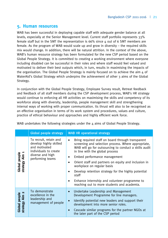# **5. Human resources**

WAB has been successful in deploying capable staff with adequate gender balance at all levels, especially at the Senior Management level. Current staff portfolio represents 33% female staff but in the SMT the representation is 66% since 4 out of 6 SMT members are female. As the program of WAB would scale up and grow in diversity  $-$  the required skills mix would change. In addition, there will be natural attrition. In the context of the above, WAB's human resource strategy has been formulated for the new CSP period based on the Global People Strategy. It is committed to creating a working environment where everyone including disabled can be successful in their roles and where staff would feel valued and motivated to deliver their best outputs which, in turn, results in maximising the impacts of the organisation. The Global People Strategy is mainly focused on to achieve the aim  $\mu$  of WaterAid's Global Strategy which underpins the achievement of other 3 aims of the Global Strategy.

In conjunction with the Global People Strategy, Employee Survey result, Retreat feedback and feedback of all staff members during the CSP development process, WAB's HR strategy would continue to enforcing all HR activities on maximising the skills and competency of its workforce along with diversity, leadership, people management skill and strengthening internal ways of working with proper communication. Its thrust will also to be recognised as an effective organisation in terms of its work system and procedures, values and culture, practice of ethical behaviour and approaches and highly efficient work force.

|                                      | <b>Global people strategy</b>                                                                                                      | <b>WAB HR operational strategy</b>                                                                                                                                                                                                                                                                                                                                                                                                                                                                   |  |  |  |
|--------------------------------------|------------------------------------------------------------------------------------------------------------------------------------|------------------------------------------------------------------------------------------------------------------------------------------------------------------------------------------------------------------------------------------------------------------------------------------------------------------------------------------------------------------------------------------------------------------------------------------------------------------------------------------------------|--|--|--|
| <b>Global people</b><br>strategy Aim | To recruit, retain and<br>develop highly skilled<br>and motivated<br>individuals to create<br>diverse and high<br>performing teams | Bring required staff on board through transparent<br>٠<br>screening and selection process. Where appropriate,<br>WAB will go for outsourcing to conduct a skills audit<br>in line with the global process<br>Embed performance management<br>٠<br>Orient staff and partners on equity and inclusion in<br>workplace on regular basis<br>Develop retention strategy for the highly potential<br>staff<br>Enhance internship and volunteer programme to<br>reaching out to more students and academia. |  |  |  |
| <b>Global people</b><br>strategy Aim | To demonstrate<br>excellence in the<br>leadership and<br>management of people                                                      | Undertake Leadership and Management<br>$\bullet$<br>Development Programme for line managers.<br>Identify potential new leaders and support their<br>$\bullet$<br>development into more senior roles.<br>Cascade similar programs for the partner NGOs at<br>$\bullet$<br>the later part of the CSP period                                                                                                                                                                                            |  |  |  |

WAB undertakes the following strategies under the 4 aims of Global People Strategy.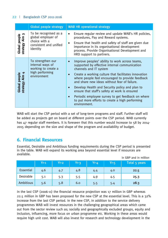|                                           | <b>Global people strategy</b>                                                                      | <b>WAB HR operational strategy</b>                                                                                                                                                                                                                                                                                                                                                                                                                                                                                            |  |  |
|-------------------------------------------|----------------------------------------------------------------------------------------------------|-------------------------------------------------------------------------------------------------------------------------------------------------------------------------------------------------------------------------------------------------------------------------------------------------------------------------------------------------------------------------------------------------------------------------------------------------------------------------------------------------------------------------------|--|--|
| m<br>Global people<br>strategy Aim        | To be recognised as a<br>global employer of<br>choice with a<br>consistent and unified<br>identity | Ensure regular review and update WAB's HR policies,<br>٠<br>procedures, Pay and Reward systems.<br>Ensure that health and safety of staff are given due<br>$\bullet$<br>importance in its organisational development<br>process. Provide Organisational Development and<br>HRD support to partners.                                                                                                                                                                                                                           |  |  |
| Aim 4<br><b>Global people</b><br>strategy | To strengthen our<br>internal ways of<br>working to create a<br>high performing<br>environment     | Improve peoples' ability to work across teams,<br>$\bullet$<br>supported by effective internal communication<br>channels and IT system<br>Create a working culture that facilitates innovation<br>where people feel encouraged to provide feedback<br>and share new ideas without fear of failure.<br>Develop Health and Security policy and plan to<br>ensure that staff's safety at work is ensured<br>Periodic employee survey to get feedback on where<br>to put more efforts to create a high performing<br>environment. |  |  |

WAB will start the CSP period with a set of long-term programs and staff. Further staff will be added as projects get on board at different points over the CSP period. WAB currently has 47 regular staff members. It is foreseen that this number would increase to 58 by 2014- 2015 depending on the size and shape of the program and availability of budget.

# **6. Financial Resources**

Essential, Desirable and Ambitious funding requirements during the CSP period is presented in the table. WAB will expand its working area beyond essential level if resources are available. in GBP and in million

|                  | $Yr-1$ | اYr-2 | $Yr-3$ | $Yr-4$ | $Yr-5$ | Total 5 years |
|------------------|--------|-------|--------|--------|--------|---------------|
| <b>Essential</b> | 4.6    | 4.7   | 4.8    | 4.4    | 4.0    | 22.5          |
| Desirable        | 5.1    | 5.3   | 5.5    | 4.9    | 4.5    | 25.3          |
| Ambitious        | 5.6    | 5.8   | 6.0    | 5.5    | 5.4    | 28.3          |

In the last CSP (2006-11) the financial resource projection was 17 million in GBP whereas 22.5 million in GBP has been proposed for the new CSP at the essential level. This is a 32% increase from the last CSP period. In the new CSP, in addition to the service delivery programmes WAB will invest resources in the challenging geographical areas which came out from the sector review such as; socially and geographically excluded groups, equity and inclusion, influencing, more focus on urban programme etc. Working in these areas would require high unit cost. WAB will also invest for research and technology development in the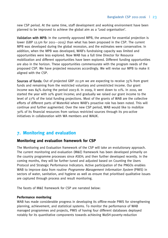new CSP period. At the same time, staff development and working environment have been planned to be improved to achieve the global aim as a 'Lead organisation'.

Validation with MPB: In the currently approved MPB, the amount for essential projection is lower (GBP 12.5m for 2011---2015) than what has been proposed in the CSP. The current MPB was developed during the global recession, and the estimates were conservative. In addition, when the MPB was developed, WAB's fundraising capacity was limited and opportunities were less explored. Now WAB has a full time Director for Resource mobilization and different opportunities have been explored. Different funding opportunities are also in the horizon. These opportunities commensurate with the program needs of the proposed CSP. We have projected resources accordingly. We will revise our MPB to make it aligned with the CSP.

Sources of funds: Out of projected GBP 22.5m we are expecting to receive 35% from grant funds and remaining from the restricted voluntary and unrestricted income. Our grant income was 84% during the period 2003-8. In 2009, it went down to 11%. In 2010, we started the year with 10% grant income; and gradually we raised our grant income to the level of 27% of the total funding projections. Most of the grants of WAB are the collective efforts of different parts of WaterAid where WAB's proactive role has been noted. This will continue and further augmented. Over the new CSP period, WAB would like to mobilize 30% of its financial resources from various restricted sources through its pro-active initiatives in collaboration with WA members and WAUK.

# **7. Monitoring and evaluation**

## **Monitoring and evaluation framework for CSP**

The Monitoring and Evaluation framework of the CSP will take an evolutionary approach. The current monitoring and evaluation (M&E) framework has been developed primarily on the country programme processes since ASEH; and then further developed recently. In the coming months, they will be further tuned and adjusted based on Counting the Users Protocol and Strategic Performance Indicators. Active participation of the PNGOs enables WAB to improve data from routine *Programme Management Information System* (PMIS) in sectors of water, sanitation, and hygiene as well as ensure that prioritised qualitative issues are captured through process and result monitoring.

The facets of M&E framework for CSP are narrated below:

#### **Performance monitoring**

WAB has made considerable progress in developing its offline-mode PMIS for strengthening planning, achievement, and statistical systems. To monitor the performance of WAB managed programmes and projects, PMIS of having four different databases deployed notably for its quantitative components towards achieving WaSH-poverty-reduction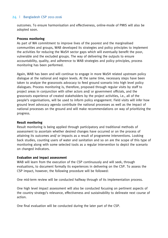outcomes. To ensure harmonisation and effectiveness, online-mode of PMIS will also be adopted soon.

#### **Process monitoring**

As part of WA commitment to improve lives of the poorest and the marginalised communities and groups, WAB developed its strategies and policy principles to implement the activities for reducing the WaSH sector gaps which will eventually benefit the poor, vulnerable and the excluded groups. The way of delivering the outputs to ensure accountability, quality, and adherence to WAB strategies and policy principles, process monitoring has been performed.

Again, WAB has been and will continue to engage in more WaSH related upstream policy dialogue at the national and region levels. At the same time, necessary steps have been taken to analyze the grassroots advocacy to feed ground scenario into high level policy dialogues. Process monitoring is, therefore, proposed through regular visits by staff to project areas in conjunction with other actors and/ or government officials, and the grassroots experience of created stakeholders by the project activities, i.e., all of the people's organisations, will be used to inform policy engagement. Field visits will infer how ground level advocacy agenda contribute the national processes as well as the impact of national processes on the ground and will make recommendations on way of prioritizing the progress.

#### **Result monitoring**

Result monitoring is being applied through participatory and traditional methods of assessment to ascertain whether desired changes have occurred or on the process of attaining its outcomes and/ or impacts as a result of programme interventions. Looking back studies, counting users of water and sanitation and so on are the scope of this type of monitoring along with some selected tools as a regular intervention to depict the scenario on changed indicators.

#### **Evaluation and impact assessment**

WAB will learn from the execution of the CSP continuously and will seek, through evaluations, to document formally its experiences in delivering on the CSP. To assess the CSP impact, however, the following procedure will be followed:

One mid-term review will be conducted halfway through of its implementation process.

One high level impact assessment will also be conducted focusing on pertinent aspects of the country strategy's relevance, effectiveness and sustainability to delineate next course of action.

One final evaluation will be conducted during the later part of the CSP.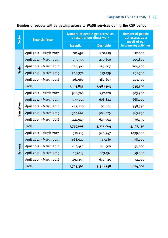# Bangladesh CSP 2011-2016 | 25

| <b>Sector</b> | <b>Financial Year</b>   | Number of people get access as<br>a result of our direct work | <b>Number of people</b><br>get access as a<br>result of our<br>influencing activities |           |  |
|---------------|-------------------------|---------------------------------------------------------------|---------------------------------------------------------------------------------------|-----------|--|
|               |                         | <b>Essential</b><br><b>Desirable</b>                          |                                                                                       |           |  |
| <b>Water</b>  | April 2011 - March 2012 | 201,497                                                       | 220,210                                                                               | 112,000   |  |
|               | April 2012 - March 2013 | 251,591                                                       | 270,600                                                                               | 195,800   |  |
|               | April 2013 - March 2014 | 226,408                                                       | 257,007                                                                               | 204,500   |  |
|               | April 2014 - March 2015 | 242,377                                                       | 353,139                                                                               | 231,500   |  |
|               | April 2015 - March 2016 | 261,960                                                       | 387,607                                                                               | 201,500   |  |
|               | <b>Total</b>            | 1,183,833                                                     | 1,488,563                                                                             | 945,300   |  |
| Sanitation    | April 2011 - March 2012 | 966,768                                                       | 992,120                                                                               | 503,900   |  |
|               | April 2012 - March 2013 | 579,001                                                       | 608,824                                                                               | 668,000   |  |
|               | April 2013 - March 2014 | 447,220                                                       | 491,101                                                                               | 548,750   |  |
|               | April 2014 - March 2015 | 344,667                                                       | 506,025                                                                               | 563,750   |  |
|               | April 2015 - March 2016 | 441,949                                                       | 625,994                                                                               | 536,750   |  |
|               | <b>Total</b>            | 2,779,605                                                     | 3,224,064                                                                             | 3,147,150 |  |
| Hygiene       | April 2011 - March 2012 | 510,715                                                       | 548,947                                                                               | 1,139,400 |  |
|               | April 2012 - March 2013 | 688,927                                                       | 727,186                                                                               | 338,000   |  |
|               | April 2013 - March 2014 | 614,452                                                       | 681,906                                                                               | 53,000    |  |
|               | April 2014 - March 2015 | 459,113                                                       | 683,194                                                                               | 59,000    |  |
|               | April 2015 - March 2016 | 492,155                                                       | 677,525                                                                               | 32,000    |  |
|               | <b>Total</b>            | 2,765,362                                                     | 3,318,758                                                                             | 1,674,000 |  |